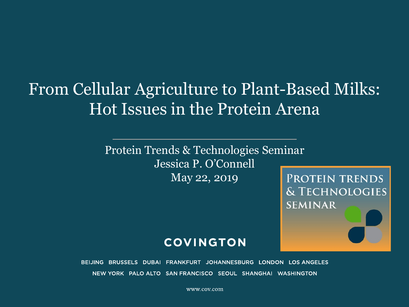# From Cellular Agriculture to Plant-Based Milks: Hot Issues in the Protein Arena

Protein Trends & Technologies Seminar Jessica P. O'Connell May 22, 2019

**PROTEIN TRENDS** & TECHNOLOGIES **SEMINAR** 

#### **COVINGTON**

BEIJING BRUSSELS DUBAI FRANKFURT JOHANNESBURG LONDON LOS ANGELES NEW YORK PALO ALTO SAN FRANCISCO SEOUL SHANGHAI WASHINGTON

www.cov.com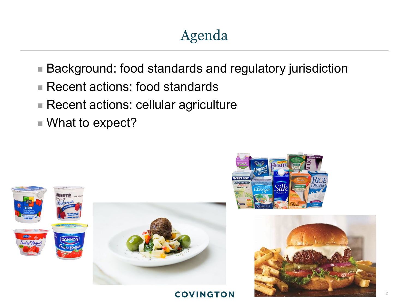# Agenda

- Background: food standards and regulatory jurisdiction
- Recent actions: food standards
- Recent actions: cellular agriculture
- What to expect?







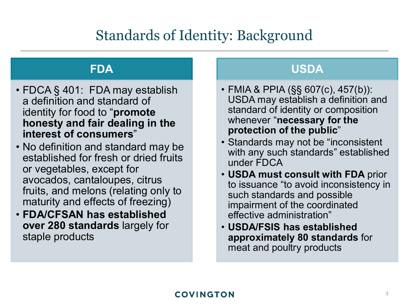## Standards of Identity: Background

### **FDA**

- FDCA § 401: FDA may establish a definition and standard of identity for food to "**promote honesty and fair dealing in the interest of consumers**"
- No definition and standard may be established for fresh or dried fruits or vegetables, except for avocados, cantaloupes, citrus fruits, and melons (relating only to maturity and effects of freezing)
- **FDA/CFSAN has established over 280 standards** largely for staple products

### **USDA**

- FMIA & PPIA (§§ 607(c), 457(b)): USDA may establish a definition and standard of identity or composition whenever "**necessary for the protection of the public**"
- Standards may not be "inconsistent with any such standards" established under FDCA
- **USDA must consult with FDA** prior to issuance "to avoid inconsistency in such standards and possible impairment of the coordinated effective administration"
- **USDA/FSIS has established approximately 80 standards** for meat and poultry products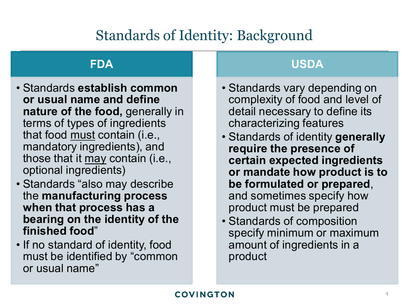## Standards of Identity: Background

### **FDA**

- Standards **establish common or usual name and define nature of the food,** generally in terms of types of ingredients that food must contain (i.e., mandatory ingredients), and those that it may contain (i.e., optional ingredients)
- Standards "also may describe the **manufacturing process when that process has a bearing on the identity of the finished food**"
- If no standard of identity, food must be identified by "common or usual name"

### **USDA**

- Standards vary depending on complexity of food and level of detail necessary to define its characterizing features
- Standards of identity **generally require the presence of certain expected ingredients or mandate how product is to be formulated or prepared**, and sometimes specify how product must be prepared
- Standards of composition specify minimum or maximum amount of ingredients in a product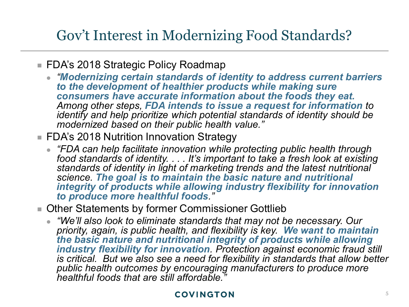## Gov't Interest in Modernizing Food Standards?

- FDA's 2018 Strategic Policy Roadmap
	- *"Modernizing certain standards of identity to address current barriers to the development of healthier products while making sure consumers have accurate information about the foods they eat. Among other steps, FDA intends to issue a request for information to identify and help prioritize which potential standards of identity should be modernized based on their public health value."*
- FDA's 2018 Nutrition Innovation Strategy
	- *"FDA can help facilitate innovation while protecting public health through food standards of identity. . . . It's important to take a fresh look at existing standards of identity in light of marketing trends and the latest nutritional science. The goal is to maintain the basic nature and nutritional integrity of products while allowing industry flexibility for innovation to produce more healthful foods."*
- **Diamage 1** Other Statements by former Commissioner Gottlieb
	- *"We'll also look to eliminate standards that may not be necessary. Our priority, again, is public health, and flexibility is key. We want to maintain the basic nature and nutritional integrity of products while allowing industry flexibility for innovation. Protection against economic fraud still is critical. But we also see a need for flexibility in standards that allow better public health outcomes by encouraging manufacturers to produce more healthful foods that are still affordable."*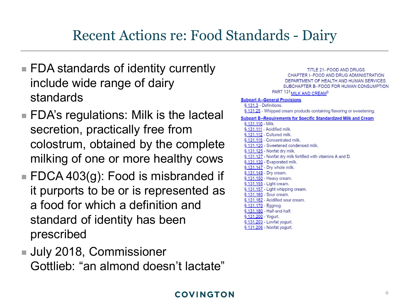### Recent Actions re: Food Standards - Dairy

- FDA standards of identity currently include wide range of dairy standards
- FDA's regulations: Milk is the lacteal secretion, practically free from colostrum, obtained by the complete milking of one or more healthy cows
- $\blacksquare$  FDCA 403(g): Food is misbranded if it purports to be or is represented as a food for which a definition and standard of identity has been prescribed
- July 2018, Commissioner Gottlieb: "an almond doesn't lactate"

| CHAPTER I-FOOD AND DRUG ADMINISTRATION                                  |
|-------------------------------------------------------------------------|
| DEPARTMENT OF HEALTH AND HUMAN SERVICES                                 |
| SUBCHAPTER B--FOOD FOR HUMAN CONSUMPTIC                                 |
| PART 131 MILK AND CREAM <sup>9</sup>                                    |
| <b>Subpart A--General Provisions</b>                                    |
| § 131.3 - Definitions.                                                  |
| § 131.25 - Whipped cream products containing flavoring or sweetening.   |
| <b>Subpart B--Requirements for Specific Standardized Milk and Cream</b> |
| § 131.110 - Milk.                                                       |
| § 131.111 - Acidified milk.                                             |
| § 131.112 - Cultured milk.                                              |
| § 131.115 - Concentrated milk.                                          |
| § 131.120 - Sweetened condensed milk.                                   |
| § 131.125 - Nonfat dry milk.                                            |
| § 131.127 - Nonfat dry milk fortified with vitamins A and D.            |
| § 131.130 - Evaporated milk.                                            |
| § 131.147 - Dry whole milk.                                             |
| § 131.149 - Dry cream.                                                  |
| § 131.150 - Heavy cream.                                                |
| § 131.155 - Light cream.                                                |
| § 131.157 - Light whipping cream.                                       |
| § 131.160 - Sour cream.                                                 |
| § 131.162 - Acidified sour cream.                                       |
| § 131.170 - Eggnog.                                                     |
| § 131.180 - Half-and-half.                                              |
| § 131.200 - Yogurt.                                                     |
| § 131.203 - Lowfat yogurt.                                              |
| § 131.206 - Nonfat yogurt.                                              |

**TITLE 21--FOOD AND DRUGS**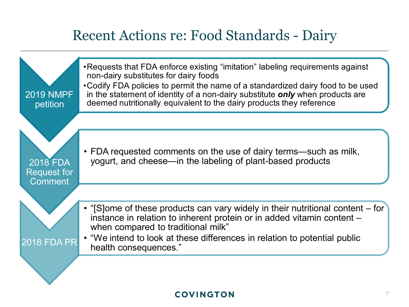### Recent Actions re: Food Standards - Dairy

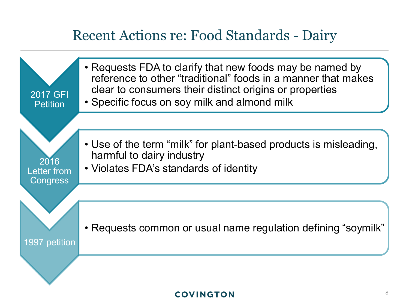### Recent Actions re: Food Standards - Dairy

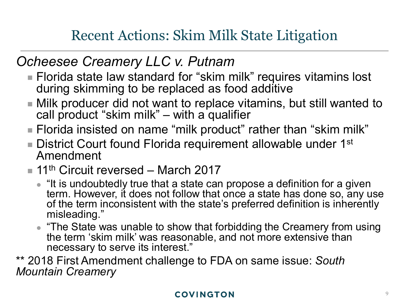## Recent Actions: Skim Milk State Litigation

### *Ocheesee Creamery LLC v. Putnam*

- Florida state law standard for "skim milk" requires vitamins lost during skimming to be replaced as food additive
- Milk producer did not want to replace vitamins, but still wanted to call product "skim milk" – with a qualifier
- Florida insisted on name "milk product" rather than "skim milk"
- **District Court found Florida requirement allowable under 1st** Amendment
- $\blacksquare$  11<sup>th</sup> Circuit reversed March 2017
	- "It is undoubtedly true that a state can propose a definition for a given term. However, it does not follow that once a state has done so, any use of the term inconsistent with the state's preferred definition is inherently misleading."
	- "The State was unable to show that forbidding the Creamery from using the term 'skim milk' was reasonable, and not more extensive than necessary to serve its interest."

\*\* 2018 First Amendment challenge to FDA on same issue: *South Mountain Creamery*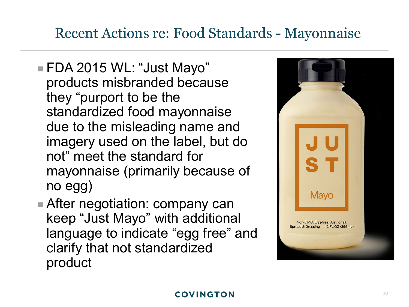## Recent Actions re: Food Standards - Mayonnaise

- FDA 2015 WL: "Just Mayo" products misbranded because they "purport to be the standardized food mayonnaise due to the misleading name and imagery used on the label, but do not" meet the standard for mayonnaise (primarily because of no egg)
- **After negotiation: company can** keep "Just Mayo" with additional language to indicate "egg free" and clarify that not standardized product

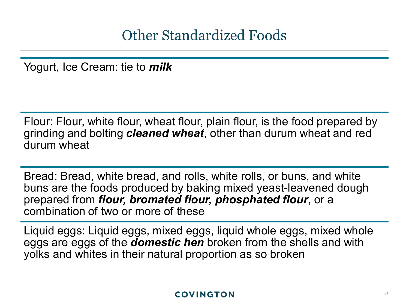Other Standardized Foods

Yogurt, Ice Cream: tie to *milk*

Flour: Flour, white flour, wheat flour, plain flour, is the food prepared by grinding and bolting *cleaned wheat*, other than durum wheat and red durum wheat

Bread: Bread, white bread, and rolls, white rolls, or buns, and white buns are the foods produced by baking mixed yeast-leavened dough prepared from *flour, bromated flour, phosphated flour*, or a combination of two or more of these

Liquid eggs: Liquid eggs, mixed eggs, liquid whole eggs, mixed whole eggs are eggs of the *domestic hen* broken from the shells and with yolks and whites in their natural proportion as so broken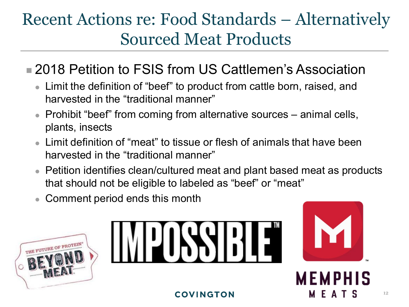# Recent Actions re: Food Standards – Alternatively Sourced Meat Products

### **2018 Petition to FSIS from US Cattlemen's Association**

- Limit the definition of "beef" to product from cattle born, raised, and harvested in the "traditional manner"
- Prohibit "beef" from coming from alternative sources animal cells, plants, insects
- Limit definition of "meat" to tissue or flesh of animals that have been harvested in the "traditional manner"
- Petition identifies clean/cultured meat and plant based meat as products that should not be eligible to labeled as "beef" or "meat"
- Comment period ends this month









F A T S

12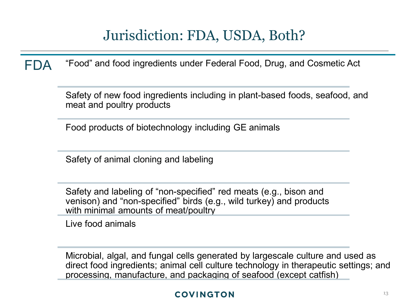## Jurisdiction: FDA, USDA, Both?

FDA "Food" and food ingredients under Federal Food, Drug, and Cosmetic Act

Safety of new food ingredients including in plant-based foods, seafood, and meat and poultry products

Food products of biotechnology including GE animals

Safety of animal cloning and labeling

Safety and labeling of "non-specified" red meats (e.g., bison and venison) and "non-specified" birds (e.g., wild turkey) and products with minimal amounts of meat/poultry

Live food animals

Microbial, algal, and fungal cells generated by largescale culture and used as direct food ingredients; animal cell culture technology in therapeutic settings; and processing, manufacture, and packaging of seafood (except catfish)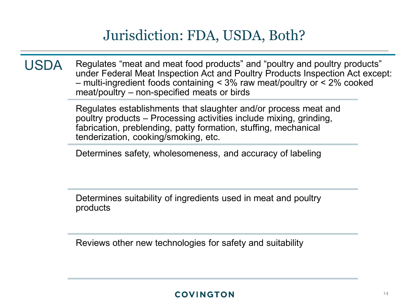### Jurisdiction: FDA, USDA, Both?

USDA Regulates "meat and meat food products" and "poultry and poultry products" under Federal Meat Inspection Act and Poultry Products Inspection Act except: – multi-ingredient foods containing < 3% raw meat/poultry or < 2% cooked meat/poultry – non-specified meats or birds

> Regulates establishments that slaughter and/or process meat and poultry products – Processing activities include mixing, grinding, fabrication, preblending, patty formation, stuffing, mechanical tenderization, cooking/smoking, etc.

Determines safety, wholesomeness, and accuracy of labeling

Determines suitability of ingredients used in meat and poultry products

Reviews other new technologies for safety and suitability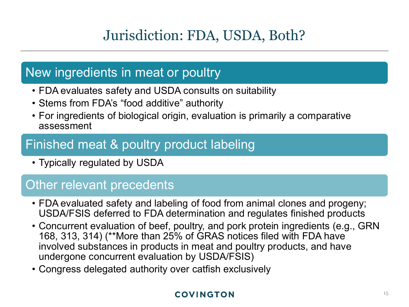## Jurisdiction: FDA, USDA, Both?

### New ingredients in meat or poultry

- FDA evaluates safety and USDA consults on suitability
- Stems from FDA's "food additive" authority
- For ingredients of biological origin, evaluation is primarily a comparative assessment

### Finished meat & poultry product labeling

• Typically regulated by USDA

### Other relevant precedents

- FDA evaluated safety and labeling of food from animal clones and progeny; USDA/FSIS deferred to FDA determination and regulates finished products
- Concurrent evaluation of beef, poultry, and pork protein ingredients (e.g., GRN 168, 313, 314) (\*\*More than 25% of GRAS notices filed with FDA have involved substances in products in meat and poultry products, and have undergone concurrent evaluation by USDA/FSIS)
- Congress delegated authority over catfish exclusively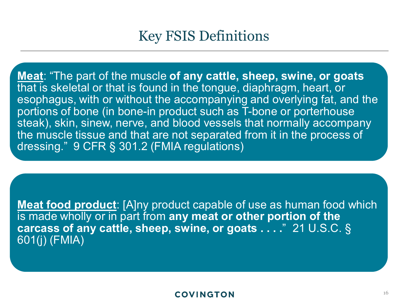### Key FSIS Definitions

**Meat**: "The part of the muscle **of any cattle, sheep, swine, or goats** that is skeletal or that is found in the tongue, diaphragm, heart, or esophagus, with or without the accompanying and overlying fat, and the portions of bone (in bone-in product such as T-bone or porterhouse steak), skin, sinew, nerve, and blood vessels that normally accompany the muscle tissue and that are not separated from it in the process of dressing." 9 CFR § 301.2 (FMIA regulations)

**Meat food product**: [A]ny product capable of use as human food which is made wholly or in part from **any meat or other portion of the carcass of any cattle, sheep, swine, or goats . . . .**" 21 U.S.C. § 601(j) (FMIA)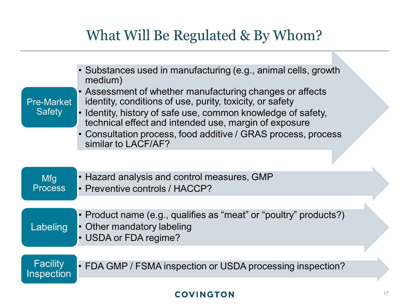### What Will Be Regulated & By Whom?

| <b>Pre-Market</b><br><b>Safety</b>   | • Substances used in manufacturing (e.g., animal cells, growth<br>medium)<br>• Assessment of whether manufacturing changes or affects<br>identity, conditions of use, purity, toxicity, or safety<br>• Identity, history of safe use, common knowledge of safety,<br>technical effect and intended use, margin of exposure<br>• Consultation process, food additive / GRAS process, process<br>similar to LACF/AF? |  |
|--------------------------------------|--------------------------------------------------------------------------------------------------------------------------------------------------------------------------------------------------------------------------------------------------------------------------------------------------------------------------------------------------------------------------------------------------------------------|--|
|                                      |                                                                                                                                                                                                                                                                                                                                                                                                                    |  |
| <b>Mfg</b><br><b>Process</b>         | • Hazard analysis and control measures, GMP<br>• Preventive controls / HACCP?                                                                                                                                                                                                                                                                                                                                      |  |
|                                      |                                                                                                                                                                                                                                                                                                                                                                                                                    |  |
| Labeling                             | • Product name (e.g., qualifies as "meat" or "poultry" products?)<br>• Other mandatory labeling<br>• USDA or FDA regime?                                                                                                                                                                                                                                                                                           |  |
|                                      |                                                                                                                                                                                                                                                                                                                                                                                                                    |  |
| <b>Facility</b><br><b>Inspection</b> | • FDA GMP / FSMA inspection or USDA processing inspection?                                                                                                                                                                                                                                                                                                                                                         |  |
|                                      |                                                                                                                                                                                                                                                                                                                                                                                                                    |  |

#### **COVINGTON**

h.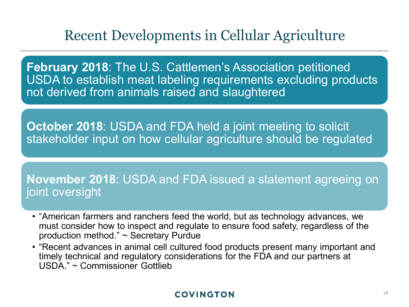### Recent Developments in Cellular Agriculture

**February 2018**: The U.S. Cattlemen's Association petitioned USDA to establish meat labeling requirements excluding products not derived from animals raised and slaughtered

**October 2018**: USDA and FDA held a joint meeting to solicit stakeholder input on how cellular agriculture should be regulated

**November 2018**: USDA and FDA issued a statement agreeing on joint oversight

- "American farmers and ranchers feed the world, but as technology advances, we must consider how to inspect and regulate to ensure food safety, regardless of the production method." ~ Secretary Purdue
- "Recent advances in animal cell cultured food products present many important and timely technical and regulatory considerations for the FDA and our partners at USDA." ~ Commissioner Gottlieb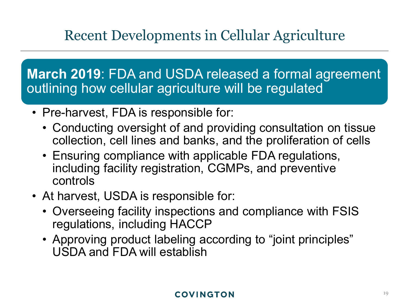## Recent Developments in Cellular Agriculture

**March 2019**: FDA and USDA released a formal agreement outlining how cellular agriculture will be regulated

- Pre-harvest, FDA is responsible for:
	- Conducting oversight of and providing consultation on tissue collection, cell lines and banks, and the proliferation of cells
	- Ensuring compliance with applicable FDA regulations, including facility registration, CGMPs, and preventive controls
- At harvest, USDA is responsible for:
	- Overseeing facility inspections and compliance with FSIS regulations, including HACCP
	- Approving product labeling according to "joint principles" USDA and FDA will establish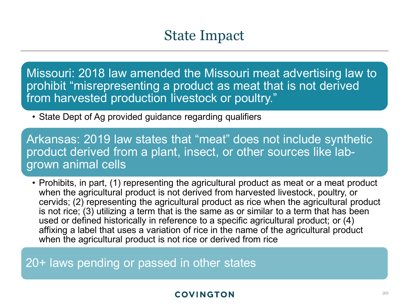### State Impact

Missouri: 2018 law amended the Missouri meat advertising law to prohibit "misrepresenting a product as meat that is not derived from harvested production livestock or poultry."

• State Dept of Ag provided guidance regarding qualifiers

Arkansas: 2019 law states that "meat" does not include synthetic product derived from a plant, insect, or other sources like labgrown animal cells

• Prohibits, in part, (1) representing the agricultural product as meat or a meat product when the agricultural product is not derived from harvested livestock, poultry, or cervids; (2) representing the agricultural product as rice when the agricultural product is not rice; (3) utilizing a term that is the same as or similar to a term that has been used or defined historically in reference to a specific agricultural product; or (4) affixing a label that uses a variation of rice in the name of the agricultural product when the agricultural product is not rice or derived from rice

20+ laws pending or passed in other states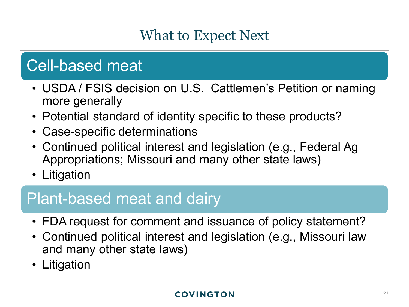## What to Expect Next

# Cell-based meat

- USDA / FSIS decision on U.S. Cattlemen's Petition or naming more generally
- Potential standard of identity specific to these products?
- Case-specific determinations
- Continued political interest and legislation (e.g., Federal Ag Appropriations; Missouri and many other state laws)
- Litigation

# Plant-based meat and dairy

- FDA request for comment and issuance of policy statement?
- Continued political interest and legislation (e.g., Missouri law and many other state laws)
- Litigation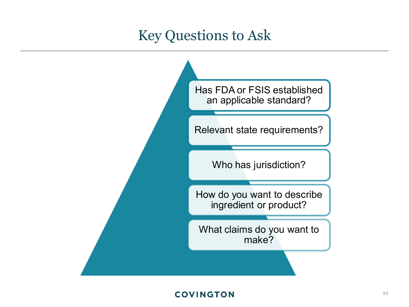### Key Questions to Ask